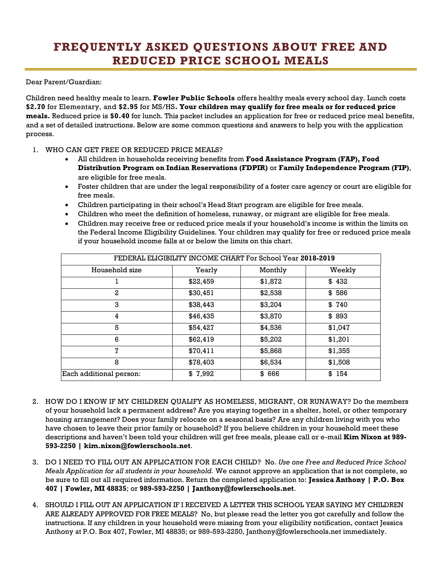## **FREQUENTLY ASKED QUESTIONS ABOUT FREE AND REDUCED PRICE SCHOOL MEALS**

Dear Parent/Guardian:

Children need healthy meals to learn. **Fowler Public Schools** offers healthy meals every school day. Lunch costs **\$2.70** for Elementary, and **\$2.95** for MS/HS**. Your children may qualify for free meals or for reduced price meals.** Reduced price is **\$0.40** for lunch. This packet includes an application for free or reduced price meal benefits, and a set of detailed instructions. Below are some common questions and answers to help you with the application process.

## 1. WHO CAN GET FREE OR REDUCED PRICE MEALS?

- All children in households receiving benefits from **Food Assistance Program (FAP), Food Distribution Program on Indian Reservations (FDPIR)** or **Family Independence Program (FIP)**, are eligible for free meals.
- Foster children that are under the legal responsibility of a foster care agency or court are eligible for free meals.
- Children participating in their school's Head Start program are eligible for free meals.
- Children who meet the definition of homeless, runaway, or migrant are eligible for free meals.
- Children may receive free or reduced price meals if your household's income is within the limits on the Federal Income Eligibility Guidelines. Your children may qualify for free or reduced price meals if your household income falls at or below the limits on this chart.

| FEDERAL ELIGIBILITY INCOME CHART For School Year 2018-2019 |          |         |         |
|------------------------------------------------------------|----------|---------|---------|
| Household size                                             | Yearly   | Monthly | Weekly  |
|                                                            | \$22,459 | \$1,872 | \$432   |
| 2                                                          | \$30,451 | \$2,538 | \$586   |
| 3                                                          | \$38,443 | \$3,204 | \$740   |
| 4                                                          | \$46,435 | \$3,870 | \$893   |
| 5                                                          | \$54,427 | \$4,536 | \$1,047 |
| 6                                                          | \$62,419 | \$5,202 | \$1,201 |
| 7                                                          | \$70,411 | \$5,868 | \$1,355 |
| 8                                                          | \$78,403 | \$6,534 | \$1,508 |
| Each additional person:                                    | \$7,992  | \$666   | \$ 154  |

- 2. HOW DO I KNOW IF MY CHILDREN QUALIFY AS HOMELESS, MIGRANT, OR RUNAWAY? Do the members of your household lack a permanent address? Are you staying together in a shelter, hotel, or other temporary housing arrangement? Does your family relocate on a seasonal basis? Are any children living with you who have chosen to leave their prior family or household? If you believe children in your household meet these descriptions and haven't been told your children will get free meals, please call or e-mail **Kim Nixon at 989- 593-2250 | kim.nixon@fowlerschools.net**.
- 3. DO I NEED TO FILL OUT AN APPLICATION FOR EACH CHILD? No. *Use one Free and Reduced Price School Meals Application for all students in your household.* We cannot approve an application that is not complete, so be sure to fill out all required information. Return the completed application to: **Jessica Anthony | P.O. Box 407 | Fowler, MI 48835**; or **989-593-2250 | Janthony@fowlerschools.net**.
- 4. SHOULD I FILL OUT AN APPLICATION IF I RECEIVED A LETTER THIS SCHOOL YEAR SAYING MY CHILDREN ARE ALREADY APPROVED FOR FREE MEALS? No, but please read the letter you got carefully and follow the instructions. If any children in your household were missing from your eligibility notification, contact Jessica Anthony at P.O. Box 407, Fowler, MI 48835; or 989-593-2250, Janthony@fowlerschools.net immediately.